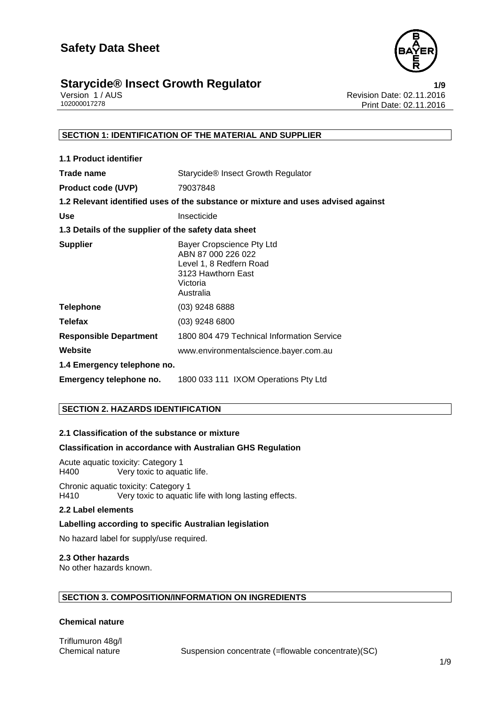

### **Starycide® Insect Growth Regulator**<br>1/9 Revision Date: 02.11.2016<br>Revision Date: 02.11.2016

Version 1 / AUS<br>102000017278<br>Print Date: 02.11.2016 Print Date: 02.11.2016

#### **SECTION 1: IDENTIFICATION OF THE MATERIAL AND SUPPLIER**

| <b>1.1 Product identifier</b>                        |                                                                                                                           |
|------------------------------------------------------|---------------------------------------------------------------------------------------------------------------------------|
| Trade name                                           | Starycide® Insect Growth Regulator                                                                                        |
| <b>Product code (UVP)</b>                            | 79037848                                                                                                                  |
|                                                      | 1.2 Relevant identified uses of the substance or mixture and uses advised against                                         |
| <b>Use</b>                                           | Insecticide                                                                                                               |
| 1.3 Details of the supplier of the safety data sheet |                                                                                                                           |
| <b>Supplier</b>                                      | Bayer Cropscience Pty Ltd<br>ABN 87 000 226 022<br>Level 1, 8 Redfern Road<br>3123 Hawthorn East<br>Victoria<br>Australia |
| <b>Telephone</b>                                     | $(03)$ 9248 6888                                                                                                          |
| <b>Telefax</b>                                       | $(03)$ 9248 6800                                                                                                          |
| <b>Responsible Department</b>                        | 1800 804 479 Technical Information Service                                                                                |
| Website                                              | www.environmentalscience.bayer.com.au                                                                                     |
| 1.4 Emergency telephone no.                          |                                                                                                                           |
| Emergency telephone no.                              | 1800 033 111 IXOM Operations Pty Ltd                                                                                      |

#### **SECTION 2. HAZARDS IDENTIFICATION**

#### **2.1 Classification of the substance or mixture**

#### **Classification in accordance with Australian GHS Regulation**

Acute aquatic toxicity: Category 1<br>H400 Very toxic to aqua Very toxic to aquatic life.

Chronic aquatic toxicity: Category 1 H410 Very toxic to aquatic life with long lasting effects.

#### **2.2 Label elements**

#### **Labelling according to specific Australian legislation**

No hazard label for supply/use required.

#### **2.3 Other hazards**

No other hazards known.

#### **SECTION 3. COMPOSITION/INFORMATION ON INGREDIENTS**

#### **Chemical nature**

Triflumuron 48g/l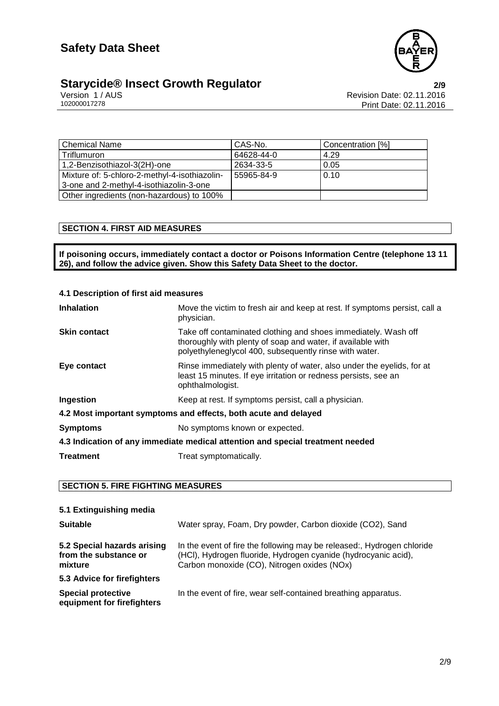

## **Starycide® Insect Growth Regulator**<br>Version 1/AUS<br>102000017278 Print Date: 02.11.2016

Revision Date: 02.11.2016 Print Date: 02.11.2016

| <b>Chemical Name</b>                          | CAS-No.    | Concentration [%] |
|-----------------------------------------------|------------|-------------------|
| Triflumuron                                   | 64628-44-0 | 4.29              |
| 1,2-Benzisothiazol-3(2H)-one                  | 2634-33-5  | 0.05              |
| Mixture of: 5-chloro-2-methyl-4-isothiazolin- | 55965-84-9 | 0.10              |
| 3-one and 2-methyl-4-isothiazolin-3-one       |            |                   |
| Other ingredients (non-hazardous) to 100%     |            |                   |

#### **SECTION 4. FIRST AID MEASURES**

**If poisoning occurs, immediately contact a doctor or Poisons Information Centre (telephone 13 11 26), and follow the advice given. Show this Safety Data Sheet to the doctor.**

#### **4.1 Description of first aid measures**

| <b>Inhalation</b>                                                              | Move the victim to fresh air and keep at rest. If symptoms persist, call a<br>physician.                                                                                                |  |
|--------------------------------------------------------------------------------|-----------------------------------------------------------------------------------------------------------------------------------------------------------------------------------------|--|
| <b>Skin contact</b>                                                            | Take off contaminated clothing and shoes immediately. Wash off<br>thoroughly with plenty of soap and water, if available with<br>polyethyleneglycol 400, subsequently rinse with water. |  |
| Eye contact                                                                    | Rinse immediately with plenty of water, also under the eyelids, for at<br>least 15 minutes. If eye irritation or redness persists, see an<br>ophthalmologist.                           |  |
| Ingestion                                                                      | Keep at rest. If symptoms persist, call a physician.                                                                                                                                    |  |
| 4.2 Most important symptoms and effects, both acute and delayed                |                                                                                                                                                                                         |  |
| <b>Symptoms</b>                                                                | No symptoms known or expected.                                                                                                                                                          |  |
| 4.3 Indication of any immediate medical attention and special treatment needed |                                                                                                                                                                                         |  |
| <b>Treatment</b>                                                               | Treat symptomatically.                                                                                                                                                                  |  |

#### **SECTION 5. FIRE FIGHTING MEASURES**

| 5.1 Extinguishing media                                         |                                                                                                                                                                                         |
|-----------------------------------------------------------------|-----------------------------------------------------------------------------------------------------------------------------------------------------------------------------------------|
| <b>Suitable</b>                                                 | Water spray, Foam, Dry powder, Carbon dioxide (CO2), Sand                                                                                                                               |
| 5.2 Special hazards arising<br>from the substance or<br>mixture | In the event of fire the following may be released:, Hydrogen chloride<br>(HCI), Hydrogen fluoride, Hydrogen cyanide (hydrocyanic acid),<br>Carbon monoxide (CO), Nitrogen oxides (NOx) |
| 5.3 Advice for firefighters                                     |                                                                                                                                                                                         |
| <b>Special protective</b><br>equipment for firefighters         | In the event of fire, wear self-contained breathing apparatus.                                                                                                                          |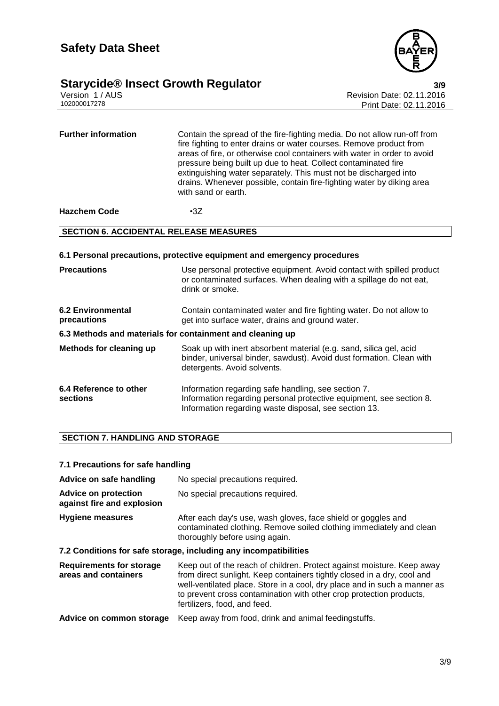

# **Starycide® Insect Growth Regulator**<br>Version 1/AUS<br>102000017278 Print Date: 02.11.2016

Revision Date: 02.11.2016 Print Date: 02.11.2016

| <b>Further information</b> | Contain the spread of the fire-fighting media. Do not allow run-off from<br>fire fighting to enter drains or water courses. Remove product from<br>areas of fire, or otherwise cool containers with water in order to avoid<br>pressure being built up due to heat. Collect contaminated fire<br>extinguishing water separately. This must not be discharged into<br>drains. Whenever possible, contain fire-fighting water by diking area<br>with sand or earth. |
|----------------------------|-------------------------------------------------------------------------------------------------------------------------------------------------------------------------------------------------------------------------------------------------------------------------------------------------------------------------------------------------------------------------------------------------------------------------------------------------------------------|
|                            |                                                                                                                                                                                                                                                                                                                                                                                                                                                                   |

**Hazchem Code** •3Z

#### **SECTION 6. ACCIDENTAL RELEASE MEASURES**

| 6.1 Personal precautions, protective equipment and emergency procedures |                                                                                                                                                                                     |  |
|-------------------------------------------------------------------------|-------------------------------------------------------------------------------------------------------------------------------------------------------------------------------------|--|
| <b>Precautions</b>                                                      | Use personal protective equipment. Avoid contact with spilled product<br>or contaminated surfaces. When dealing with a spillage do not eat,<br>drink or smoke.                      |  |
| <b>6.2 Environmental</b><br>precautions                                 | Contain contaminated water and fire fighting water. Do not allow to<br>get into surface water, drains and ground water.                                                             |  |
| 6.3 Methods and materials for containment and cleaning up               |                                                                                                                                                                                     |  |
| <b>Methods for cleaning up</b>                                          | Soak up with inert absorbent material (e.g. sand, silica gel, acid<br>binder, universal binder, sawdust). Avoid dust formation. Clean with<br>detergents. Avoid solvents.           |  |
| 6.4 Reference to other<br>sections                                      | Information regarding safe handling, see section 7.<br>Information regarding personal protective equipment, see section 8.<br>Information regarding waste disposal, see section 13. |  |

#### **SECTION 7. HANDLING AND STORAGE**

#### **7.1 Precautions for safe handling**

| Advice on safe handling                                          | No special precautions required.                                                                                                                                       |  |
|------------------------------------------------------------------|------------------------------------------------------------------------------------------------------------------------------------------------------------------------|--|
| <b>Advice on protection</b><br>against fire and explosion        | No special precautions required.                                                                                                                                       |  |
| <b>Hygiene measures</b>                                          | After each day's use, wash gloves, face shield or goggles and<br>contaminated clothing. Remove soiled clothing immediately and clean<br>thoroughly before using again. |  |
| 7.2 Conditions for safe storage, including any incompatibilities |                                                                                                                                                                        |  |
| <b>Requirements for storage</b>                                  | Keep out of the reach of children. Protect against moisture. Keep away                                                                                                 |  |

| Requirements for storage | Keep out of the reach of children. Protect against moisture. Keep away    |
|--------------------------|---------------------------------------------------------------------------|
| areas and containers     | from direct sunlight. Keep containers tightly closed in a dry, cool and   |
|                          | well-ventilated place. Store in a cool, dry place and in such a manner as |
|                          | to prevent cross contamination with other crop protection products,       |
|                          | fertilizers, food, and feed.                                              |
|                          |                                                                           |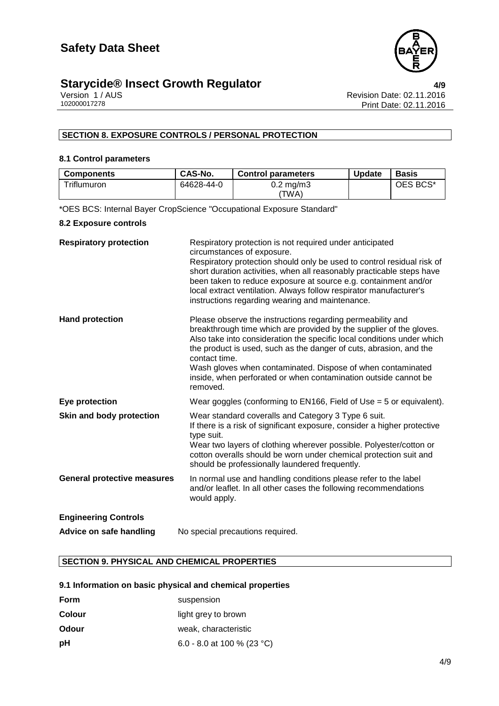

## **Starycide® Insect Growth Regulator**<br>Version 1/AUS **Alta Critical Regulator 1/AUS Alta Critical Revision Date: 02.11.2016**

Version 1 / AUS Revision Date: 02.11.2016 Print Date: 02.11.2016

#### **SECTION 8. EXPOSURE CONTROLS / PERSONAL PROTECTION**

#### **8.1 Control parameters**

| <b>Components</b> | CAS-No.    | <b>Control parameters</b> | <b>Update</b> | <b>Basis</b> |
|-------------------|------------|---------------------------|---------------|--------------|
| Triflumuron       | 64628-44-0 | 0.2 mg/m3                 |               | OES BCS*     |
|                   |            | 'TWA)                     |               |              |

\*OES BCS: Internal Bayer CropScience "Occupational Exposure Standard"

#### **8.2 Exposure controls**

| <b>Respiratory protection</b>      | Respiratory protection is not required under anticipated<br>circumstances of exposure.<br>Respiratory protection should only be used to control residual risk of<br>short duration activities, when all reasonably practicable steps have<br>been taken to reduce exposure at source e.g. containment and/or<br>local extract ventilation. Always follow respirator manufacturer's<br>instructions regarding wearing and maintenance.            |
|------------------------------------|--------------------------------------------------------------------------------------------------------------------------------------------------------------------------------------------------------------------------------------------------------------------------------------------------------------------------------------------------------------------------------------------------------------------------------------------------|
| <b>Hand protection</b>             | Please observe the instructions regarding permeability and<br>breakthrough time which are provided by the supplier of the gloves.<br>Also take into consideration the specific local conditions under which<br>the product is used, such as the danger of cuts, abrasion, and the<br>contact time.<br>Wash gloves when contaminated. Dispose of when contaminated<br>inside, when perforated or when contamination outside cannot be<br>removed. |
| Eye protection                     | Wear goggles (conforming to $EN166$ , Field of Use = 5 or equivalent).                                                                                                                                                                                                                                                                                                                                                                           |
| Skin and body protection           | Wear standard coveralls and Category 3 Type 6 suit.<br>If there is a risk of significant exposure, consider a higher protective<br>type suit.<br>Wear two layers of clothing wherever possible. Polyester/cotton or<br>cotton overalls should be worn under chemical protection suit and<br>should be professionally laundered frequently.                                                                                                       |
| <b>General protective measures</b> | In normal use and handling conditions please refer to the label<br>and/or leaflet. In all other cases the following recommendations<br>would apply.                                                                                                                                                                                                                                                                                              |
| <b>Engineering Controls</b>        |                                                                                                                                                                                                                                                                                                                                                                                                                                                  |
| Advice on safe handling            | No special precautions required.                                                                                                                                                                                                                                                                                                                                                                                                                 |

#### **SECTION 9. PHYSICAL AND CHEMICAL PROPERTIES**

#### **9.1 Information on basic physical and chemical properties**

| <b>Form</b>  | suspension                 |
|--------------|----------------------------|
| Colour       | light grey to brown        |
| <b>Odour</b> | weak, characteristic       |
| рH           | 6.0 - 8.0 at 100 % (23 °C) |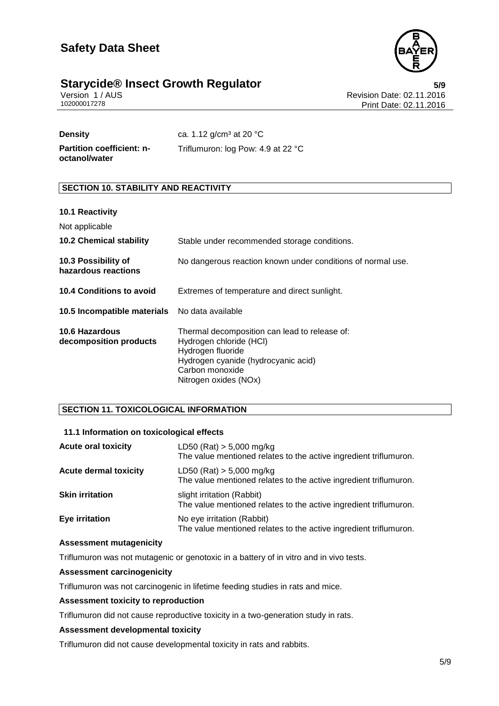

### **Starycide® Insect Growth Regulator**<br>**1/AUS** Version 1/AUS **Insect Growth Regulator 1/AUS** Revision Date: 02.11.2016

Version 1 / AUS<br>102000017278<br>Print Date: 02.11.2016 Print Date: 02.11.2016

**Density** ca. 1.12 g/cm<sup>3</sup> at 20 °C **Partition coefficient: n-**Triflumuron: log Pow: 4.9 at 22 °C

#### **SECTION 10. STABILITY AND REACTIVITY**

#### **10.1 Reactivity**

**octanol/water**

| Not applicable                                |                                                                                                                                                                                  |
|-----------------------------------------------|----------------------------------------------------------------------------------------------------------------------------------------------------------------------------------|
| <b>10.2 Chemical stability</b>                | Stable under recommended storage conditions.                                                                                                                                     |
| 10.3 Possibility of<br>hazardous reactions    | No dangerous reaction known under conditions of normal use.                                                                                                                      |
| 10.4 Conditions to avoid                      | Extremes of temperature and direct sunlight.                                                                                                                                     |
| 10.5 Incompatible materials No data available |                                                                                                                                                                                  |
| 10.6 Hazardous<br>decomposition products      | Thermal decomposition can lead to release of:<br>Hydrogen chloride (HCI)<br>Hydrogen fluoride<br>Hydrogen cyanide (hydrocyanic acid)<br>Carbon monoxide<br>Nitrogen oxides (NOx) |

#### **SECTION 11. TOXICOLOGICAL INFORMATION**

#### **11.1 Information on toxicological effects**

| <b>Acute oral toxicity</b>   | LD50 (Rat) $> 5,000$ mg/kg<br>The value mentioned relates to the active ingredient triflumuron. |
|------------------------------|-------------------------------------------------------------------------------------------------|
| <b>Acute dermal toxicity</b> | LD50 (Rat) $> 5,000$ mg/kg<br>The value mentioned relates to the active ingredient triflumuron. |
| <b>Skin irritation</b>       | slight irritation (Rabbit)<br>The value mentioned relates to the active ingredient triflumuron. |
| Eye irritation               | No eye irritation (Rabbit)<br>The value mentioned relates to the active ingredient triflumuron. |

#### **Assessment mutagenicity**

Triflumuron was not mutagenic or genotoxic in a battery of in vitro and in vivo tests.

#### **Assessment carcinogenicity**

Triflumuron was not carcinogenic in lifetime feeding studies in rats and mice.

#### **Assessment toxicity to reproduction**

Triflumuron did not cause reproductive toxicity in a two-generation study in rats.

#### **Assessment developmental toxicity**

Triflumuron did not cause developmental toxicity in rats and rabbits.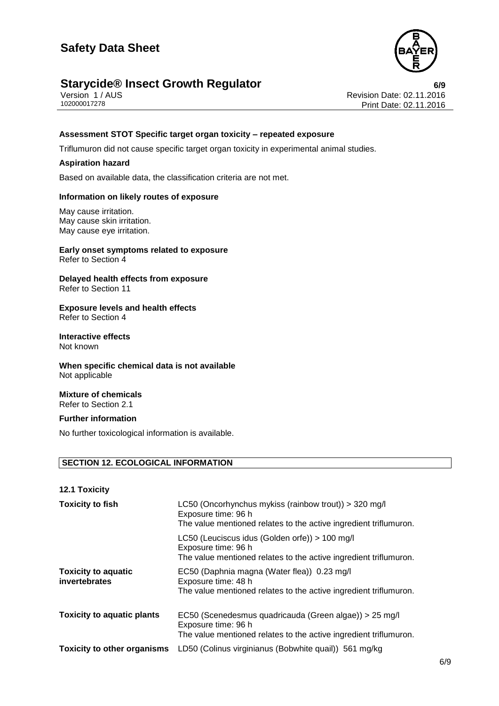

### **Starycide® Insect Growth Regulator**<br>**1/AUS** Version 1/AUS **CONCERCITY Revision Date: 02.11.2016**

Version 1 / AUS<br>102000017278<br>Print Date: 02.11.2016 Print Date: 02.11.2016

#### **Assessment STOT Specific target organ toxicity – repeated exposure**

Triflumuron did not cause specific target organ toxicity in experimental animal studies.

#### **Aspiration hazard**

Based on available data, the classification criteria are not met.

#### **Information on likely routes of exposure**

May cause irritation. May cause skin irritation. May cause eye irritation.

#### **Early onset symptoms related to exposure** Refer to Section 4

**Delayed health effects from exposure** Refer to Section 11

#### **Exposure levels and health effects** Refer to Section 4

#### **Interactive effects** Not known

#### **When specific chemical data is not available** Not applicable

#### **Mixture of chemicals** Refer to Section 2.1

#### **Further information**

No further toxicological information is available.

#### **SECTION 12. ECOLOGICAL INFORMATION**

| <b>12.1 Toxicity</b>                        |                                                                                                                                                    |
|---------------------------------------------|----------------------------------------------------------------------------------------------------------------------------------------------------|
| <b>Toxicity to fish</b>                     | LC50 (Oncorhynchus mykiss (rainbow trout)) > 320 mg/l<br>Exposure time: 96 h<br>The value mentioned relates to the active ingredient triflumuron.  |
|                                             | LC50 (Leuciscus idus (Golden orfe)) > 100 mg/l<br>Exposure time: 96 h<br>The value mentioned relates to the active ingredient triflumuron.         |
| <b>Toxicity to aquatic</b><br>invertebrates | EC50 (Daphnia magna (Water flea)) 0.23 mg/l<br>Exposure time: 48 h<br>The value mentioned relates to the active ingredient triflumuron.            |
| <b>Toxicity to aquatic plants</b>           | EC50 (Scenedesmus quadricauda (Green algae)) > 25 mg/l<br>Exposure time: 96 h<br>The value mentioned relates to the active ingredient triflumuron. |
| <b>Toxicity to other organisms</b>          | LD50 (Colinus virginianus (Bobwhite quail)) 561 mg/kg                                                                                              |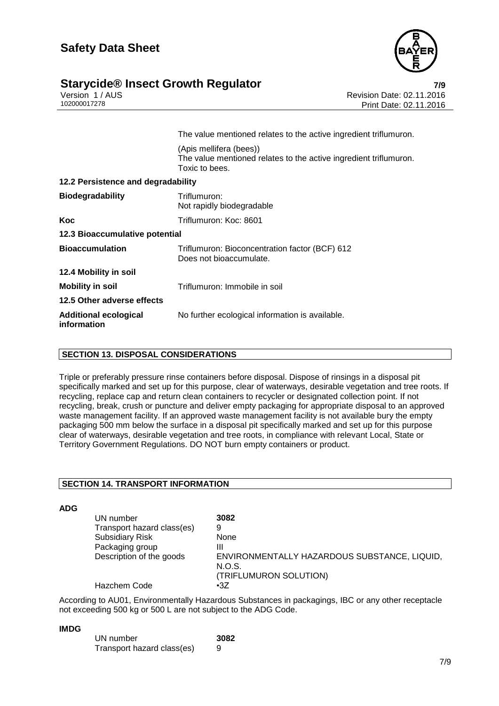

### **Starycide® Insect Growth Regulator**<br>**1/AUS** Version 1/AUS **Proporting the Start of Australian Revision Date: 02.11.2016**

Version 1 / AUS Revision Date: 02.11.2016 Print Date: 02.11.2016

|                                             | The value mentioned relates to the active ingredient triflumuron.                                              |
|---------------------------------------------|----------------------------------------------------------------------------------------------------------------|
|                                             | (Apis mellifera (bees))<br>The value mentioned relates to the active ingredient triflumuron.<br>Toxic to bees. |
| 12.2 Persistence and degradability          |                                                                                                                |
| <b>Biodegradability</b>                     | Triflumuron:<br>Not rapidly biodegradable                                                                      |
| Koc                                         | Triflumuron: Koc: 8601                                                                                         |
| 12.3 Bioaccumulative potential              |                                                                                                                |
| <b>Bioaccumulation</b>                      | Triflumuron: Bioconcentration factor (BCF) 612<br>Does not bioaccumulate.                                      |
| 12.4 Mobility in soil                       |                                                                                                                |
| <b>Mobility in soil</b>                     | Triflumuron: Immobile in soil                                                                                  |
| 12.5 Other adverse effects                  |                                                                                                                |
| <b>Additional ecological</b><br>information | No further ecological information is available.                                                                |

#### **SECTION 13. DISPOSAL CONSIDERATIONS**

Triple or preferably pressure rinse containers before disposal. Dispose of rinsings in a disposal pit specifically marked and set up for this purpose, clear of waterways, desirable vegetation and tree roots. If recycling, replace cap and return clean containers to recycler or designated collection point. If not recycling, break, crush or puncture and deliver empty packaging for appropriate disposal to an approved waste management facility. If an approved waste management facility is not available bury the empty packaging 500 mm below the surface in a disposal pit specifically marked and set up for this purpose clear of waterways, desirable vegetation and tree roots, in compliance with relevant Local, State or Territory Government Regulations. DO NOT burn empty containers or product.

#### **SECTION 14. TRANSPORT INFORMATION**

**ADG**

| UN number                  | 3082                                         |
|----------------------------|----------------------------------------------|
| Transport hazard class(es) | 9                                            |
| <b>Subsidiary Risk</b>     | None                                         |
| Packaging group            | Ш                                            |
| Description of the goods   | ENVIRONMENTALLY HAZARDOUS SUBSTANCE, LIQUID, |
|                            | N.O.S.                                       |
|                            | (TRIFLUMURON SOLUTION)                       |
| Hazchem Code               | $\cdot 37$                                   |

According to AU01, Environmentally Hazardous Substances in packagings, IBC or any other receptacle not exceeding 500 kg or 500 L are not subject to the ADG Code.

#### **IMDG**

| UN number                  | 3082 |
|----------------------------|------|
| Transport hazard class(es) | 9    |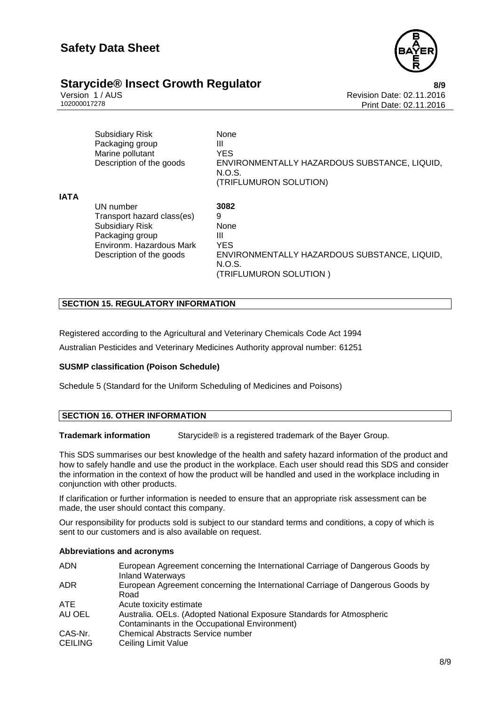

## **Starycide® Insect Growth Regulator**<br>**8/9** Nersion 1/AUS **1/AUS** Version Date: 02.11.2016

Version 1 / AUS<br>102000017278<br>Print Date: 02.11.2016 Print Date: 02.11.2016

|             | <b>Subsidiary Risk</b><br>Packaging group<br>Marine pollutant<br>Description of the goods | None<br>Ш<br><b>YES</b><br>ENVIRONMENTALLY HAZARDOUS SUBSTANCE, LIQUID,<br>N.O.S.<br>(TRIFLUMURON SOLUTION) |
|-------------|-------------------------------------------------------------------------------------------|-------------------------------------------------------------------------------------------------------------|
| <b>IATA</b> |                                                                                           |                                                                                                             |
|             | UN number                                                                                 | 3082                                                                                                        |
|             | Transport hazard class(es)                                                                | 9                                                                                                           |
|             | <b>Subsidiary Risk</b>                                                                    | None                                                                                                        |
|             | Packaging group                                                                           | Ш                                                                                                           |
|             | Environm, Hazardous Mark                                                                  | <b>YES</b>                                                                                                  |
|             | Description of the goods                                                                  | ENVIRONMENTALLY HAZARDOUS SUBSTANCE, LIQUID,                                                                |
|             |                                                                                           | N.O.S.                                                                                                      |
|             |                                                                                           | (TRIFLUMURON SOLUTION)                                                                                      |

#### **SECTION 15. REGULATORY INFORMATION**

Registered according to the Agricultural and Veterinary Chemicals Code Act 1994

Australian Pesticides and Veterinary Medicines Authority approval number: 61251

#### **SUSMP classification (Poison Schedule)**

Schedule 5 (Standard for the Uniform Scheduling of Medicines and Poisons)

#### **SECTION 16. OTHER INFORMATION**

**Trademark information** Starycide® is a registered trademark of the Bayer Group.

This SDS summarises our best knowledge of the health and safety hazard information of the product and how to safely handle and use the product in the workplace. Each user should read this SDS and consider the information in the context of how the product will be handled and used in the workplace including in conjunction with other products.

If clarification or further information is needed to ensure that an appropriate risk assessment can be made, the user should contact this company.

Our responsibility for products sold is subject to our standard terms and conditions, a copy of which is sent to our customers and is also available on request.

#### **Abbreviations and acronyms**

| <b>ADN</b>     | European Agreement concerning the International Carriage of Dangerous Goods by<br><b>Inland Waterways</b>              |
|----------------|------------------------------------------------------------------------------------------------------------------------|
| <b>ADR</b>     | European Agreement concerning the International Carriage of Dangerous Goods by<br>Road                                 |
| ATE.           | Acute toxicity estimate                                                                                                |
| AU OEL         | Australia. OELs. (Adopted National Exposure Standards for Atmospheric<br>Contaminants in the Occupational Environment) |
|                |                                                                                                                        |
| CAS-Nr.        | <b>Chemical Abstracts Service number</b>                                                                               |
| <b>CEILING</b> | Ceiling Limit Value                                                                                                    |